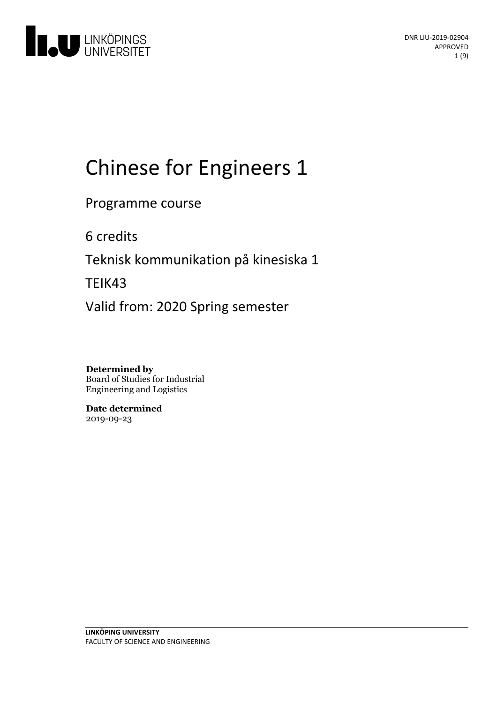

# Chinese for Engineers 1

Programme course

6 credits

Teknisk kommunikation på kinesiska 1

TEIK43

Valid from: 2020 Spring semester

**Determined by** Board of Studies for Industrial Engineering and Logistics

**Date determined** 2019-09-23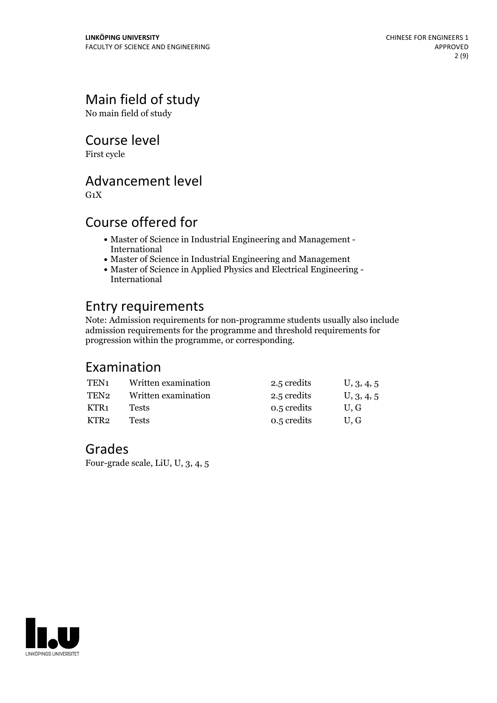# Main field of study

No main field of study

Course level

First cycle

# Advancement level

 $G_1X$ 

# Course offered for

- Master of Science in Industrial Engineering and Management International
- Master of Science in Industrial Engineering and Management
- Master of Science in Applied Physics and Electrical Engineering International

# Entry requirements

Note: Admission requirements for non-programme students usually also include admission requirements for the programme and threshold requirements for progression within the programme, or corresponding.

# Examination

| TEN <sub>1</sub> | Written examination | 2.5 credits | U, 3, 4, 5 |
|------------------|---------------------|-------------|------------|
| TEN2             | Written examination | 2.5 credits | U, 3, 4, 5 |
| KTR1             | Tests               | 0.5 credits | U.G        |
| KTR2             | Tests               | 0.5 credits | U.G        |

## Grades

Four-grade scale, LiU, U, 3, 4, 5

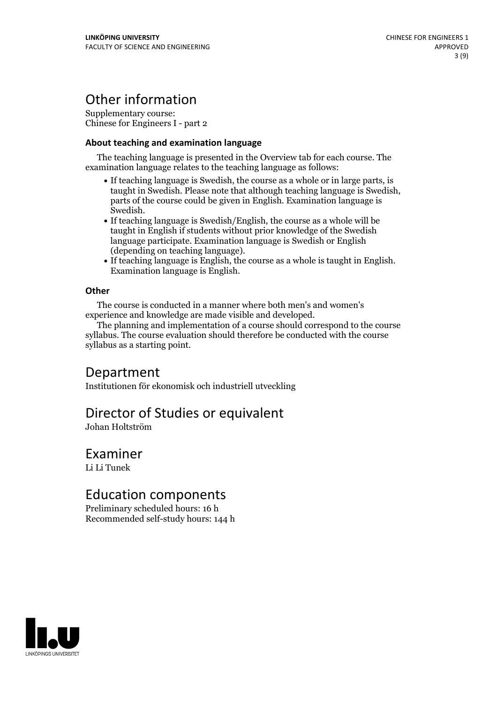# Other information

Supplementary course: Chinese for Engineers I - part 2

#### **About teaching and examination language**

The teaching language is presented in the Overview tab for each course. The examination language relates to the teaching language as follows:

- If teaching language is Swedish, the course as a whole or in large parts, is taught in Swedish. Please note that although teaching language is Swedish, parts of the course could be given in English. Examination language is Swedish.<br>• If teaching language is Swedish/English, the course as a whole will be
- taught in English if students without prior knowledge of the Swedish language participate. Examination language is Swedish or English
- $\bullet$  If teaching language is English, the course as a whole is taught in English. Examination language is English.

#### **Other**

The course is conducted in a manner where both men's and women's

The planning and implementation of a course should correspond to the course syllabus. The course evaluation should therefore be conducted with the course syllabus as a starting point.

# Department

Institutionen för ekonomisk och industriell utveckling

# Director of Studies or equivalent

Johan Holtström

### Examiner

Li Li Tunek

# Education components

Preliminary scheduled hours: 16 h Recommended self-study hours: 144 h

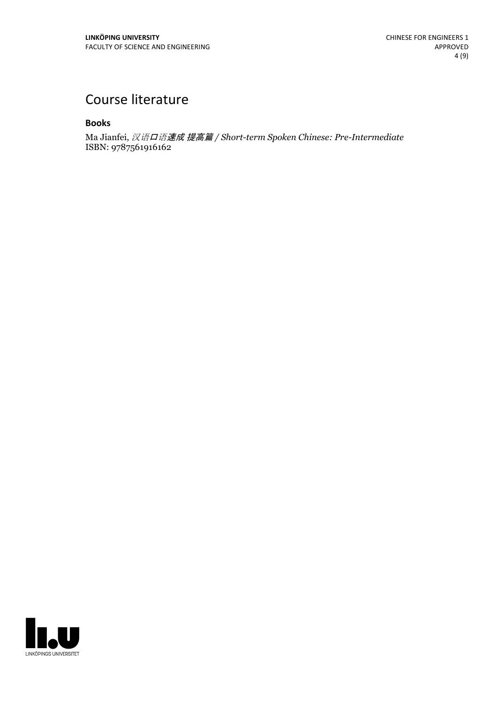# Course literature

#### **Books**

Ma Jianfei, 汉语口语速成 提高篇 */ Short-term Spoken Chinese: Pre-Intermediate* ISBN: 9787561916162

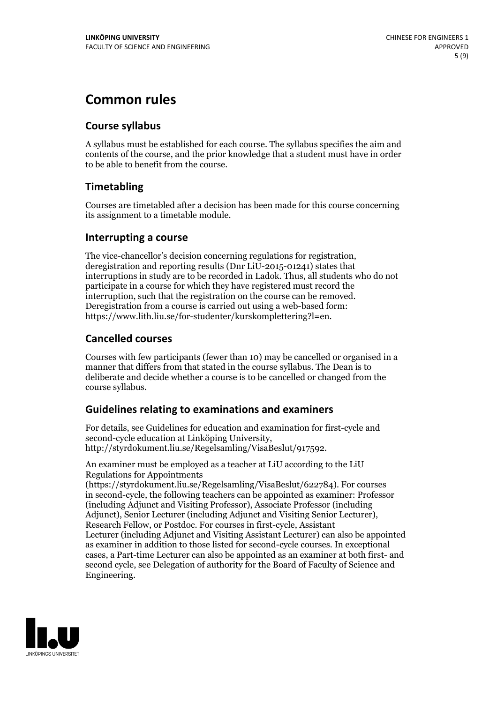# **Common rules**

### **Course syllabus**

A syllabus must be established for each course. The syllabus specifies the aim and contents of the course, and the prior knowledge that a student must have in order to be able to benefit from the course.

### **Timetabling**

Courses are timetabled after a decision has been made for this course concerning its assignment to a timetable module.

#### **Interrupting a course**

The vice-chancellor's decision concerning regulations for registration, deregistration and reporting results (Dnr LiU-2015-01241) states that interruptions in study are to be recorded in Ladok. Thus, all students who do not participate in a course for which they have registered must record the interruption, such that the registration on the course can be removed. Deregistration from <sup>a</sup> course is carried outusing <sup>a</sup> web-based form: https://www.lith.liu.se/for-studenter/kurskomplettering?l=en.

### **Cancelled courses**

Courses with few participants (fewer than 10) may be cancelled or organised in a manner that differs from that stated in the course syllabus. The Dean is to deliberate and decide whether a course is to be cancelled or changed from the course syllabus.

### **Guidelines relatingto examinations and examiners**

For details, see Guidelines for education and examination for first-cycle and second-cycle education at Linköping University, http://styrdokument.liu.se/Regelsamling/VisaBeslut/917592.

An examiner must be employed as a teacher at LiU according to the LiU Regulations for Appointments

(https://styrdokument.liu.se/Regelsamling/VisaBeslut/622784). For courses in second-cycle, the following teachers can be appointed as examiner: Professor (including Adjunct and Visiting Professor), Associate Professor (including Adjunct), Senior Lecturer (including Adjunct and Visiting Senior Lecturer), Research Fellow, or Postdoc. For courses in first-cycle, Assistant Lecturer (including Adjunct and Visiting Assistant Lecturer) can also be appointed as examiner in addition to those listed for second-cycle courses. In exceptional cases, a Part-time Lecturer can also be appointed as an examiner at both first- and second cycle, see Delegation of authority for the Board of Faculty of Science and Engineering.

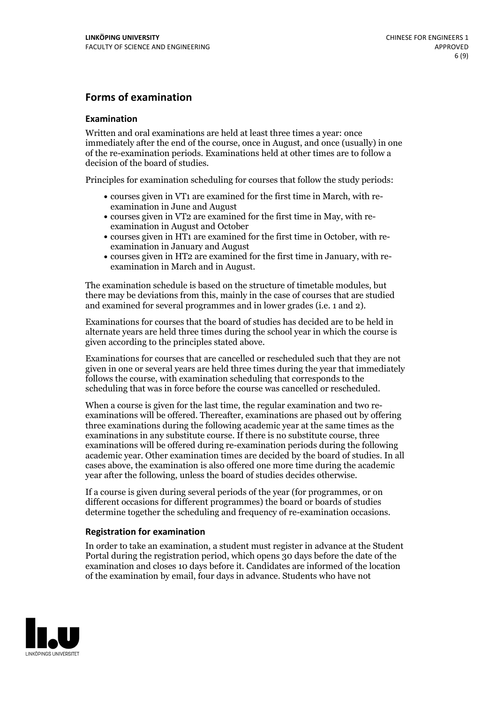### **Forms of examination**

#### **Examination**

Written and oral examinations are held at least three times a year: once immediately after the end of the course, once in August, and once (usually) in one of the re-examination periods. Examinations held at other times are to follow a decision of the board of studies.

Principles for examination scheduling for courses that follow the study periods:

- courses given in VT1 are examined for the first time in March, with re-examination in June and August
- courses given in VT2 are examined for the first time in May, with re-examination in August and October
- courses given in HT1 are examined for the first time in October, with re-examination in January and August
- courses given in HT2 are examined for the first time in January, with re-examination in March and in August.

The examination schedule is based on the structure of timetable modules, but there may be deviations from this, mainly in the case of courses that are studied and examined for several programmes and in lower grades (i.e. 1 and 2).

Examinations for courses that the board of studies has decided are to be held in alternate years are held three times during the school year in which the course is given according to the principles stated above.

Examinations for courses that are cancelled orrescheduled such that they are not given in one or several years are held three times during the year that immediately follows the course, with examination scheduling that corresponds to the scheduling that was in force before the course was cancelled or rescheduled.

When a course is given for the last time, the regular examination and two re-<br>examinations will be offered. Thereafter, examinations are phased out by offering three examinations during the following academic year at the same times as the examinations in any substitute course. If there is no substitute course, three examinations will be offered during re-examination periods during the following academic year. Other examination times are decided by the board of studies. In all cases above, the examination is also offered one more time during the academic year after the following, unless the board of studies decides otherwise.

If a course is given during several periods of the year (for programmes, or on different occasions for different programmes) the board or boards of studies determine together the scheduling and frequency of re-examination occasions.

#### **Registration for examination**

In order to take an examination, a student must register in advance at the Student Portal during the registration period, which opens 30 days before the date of the examination and closes 10 days before it. Candidates are informed of the location of the examination by email, four days in advance. Students who have not

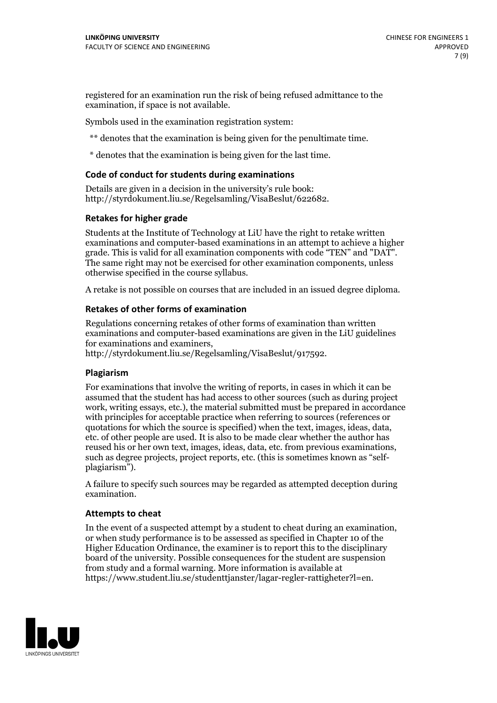registered for an examination run the risk of being refused admittance to the examination, if space is not available.

Symbols used in the examination registration system:

\*\* denotes that the examination is being given for the penultimate time.

\* denotes that the examination is being given for the last time.

#### **Code of conduct for students during examinations**

Details are given in a decision in the university's rule book: http://styrdokument.liu.se/Regelsamling/VisaBeslut/622682.

#### **Retakes for higher grade**

Students at the Institute of Technology at LiU have the right to retake written examinations and computer-based examinations in an attempt to achieve a higher grade. This is valid for all examination components with code "TEN" and "DAT". The same right may not be exercised for other examination components, unless otherwise specified in the course syllabus.

A retake is not possible on courses that are included in an issued degree diploma.

#### **Retakes of other forms of examination**

Regulations concerning retakes of other forms of examination than written examinations and computer-based examinations are given in the LiU guidelines

http://styrdokument.liu.se/Regelsamling/VisaBeslut/917592.

#### **Plagiarism**

For examinations that involve the writing of reports, in cases in which it can be assumed that the student has had access to other sources (such as during project work, writing essays, etc.), the material submitted must be prepared in accordance with principles for acceptable practice when referring to sources (references or quotations for which the source is specified) when the text, images, ideas, data,  $\vec{e}$  etc. of other people are used. It is also to be made clear whether the author has reused his or her own text, images, ideas, data, etc. from previous examinations, such as degree projects, project reports, etc. (this is sometimes known as "self- plagiarism").

A failure to specify such sources may be regarded as attempted deception during examination.

#### **Attempts to cheat**

In the event of <sup>a</sup> suspected attempt by <sup>a</sup> student to cheat during an examination, or when study performance is to be assessed as specified in Chapter <sup>10</sup> of the Higher Education Ordinance, the examiner is to report this to the disciplinary board of the university. Possible consequences for the student are suspension from study and a formal warning. More information is available at https://www.student.liu.se/studenttjanster/lagar-regler-rattigheter?l=en.

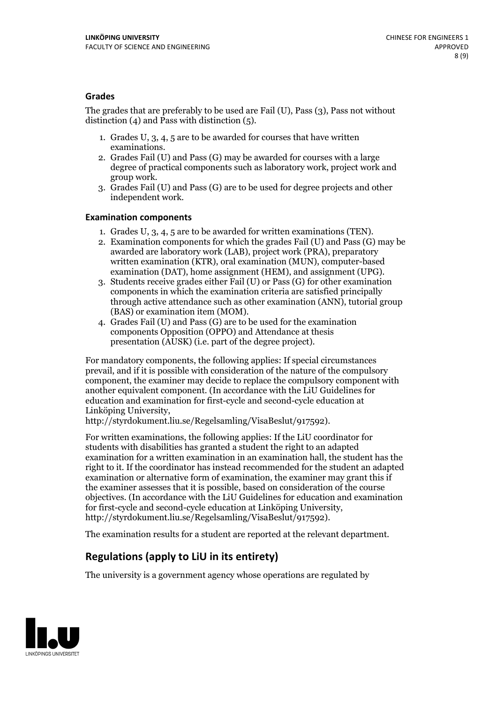#### **Grades**

The grades that are preferably to be used are Fail (U), Pass (3), Pass not without distinction  $(4)$  and Pass with distinction  $(5)$ .

- 1. Grades U, 3, 4, 5 are to be awarded for courses that have written
- examinations. 2. Grades Fail (U) and Pass (G) may be awarded for courses with <sup>a</sup> large degree of practical components such as laboratory work, project work and group work. 3. Grades Fail (U) and Pass (G) are to be used for degree projects and other
- independent work.

#### **Examination components**

- 
- 1. Grades U, 3, 4, <sup>5</sup> are to be awarded for written examinations (TEN). 2. Examination components for which the grades Fail (U) and Pass (G) may be awarded are laboratory work (LAB), project work (PRA), preparatory written examination (KTR), oral examination (MUN), computer-based
- examination (DAT), home assignment (HEM), and assignment (UPG). 3. Students receive grades either Fail (U) or Pass (G) for other examination components in which the examination criteria are satisfied principally through active attendance such as other examination (ANN), tutorial group (BAS) or examination item (MOM). 4. Grades Fail (U) and Pass (G) are to be used for the examination
- components Opposition (OPPO) and Attendance at thesis presentation (AUSK) (i.e. part of the degree project).

For mandatory components, the following applies: If special circumstances prevail, and if it is possible with consideration of the nature of the compulsory component, the examiner may decide to replace the compulsory component with another equivalent component. (In accordance with the LiU Guidelines for education and examination for first-cycle and second-cycle education at Linköping University, http://styrdokument.liu.se/Regelsamling/VisaBeslut/917592).

For written examinations, the following applies: If the LiU coordinator for students with disabilities has granted a student the right to an adapted examination for a written examination in an examination hall, the student has the right to it. If the coordinator has instead recommended for the student an adapted examination or alternative form of examination, the examiner may grant this if the examiner assesses that it is possible, based on consideration of the course objectives. (In accordance with the LiU Guidelines for education and examination for first-cycle and second-cycle education at Linköping University, http://styrdokument.liu.se/Regelsamling/VisaBeslut/917592).

The examination results for a student are reported at the relevant department.

### **Regulations (applyto LiU in its entirety)**

The university is a government agency whose operations are regulated by